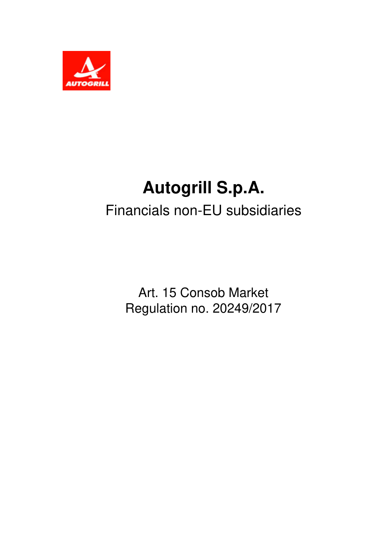

## **Autogrill S.p.A.** Financials non-EU subsidiaries

Art. 15 Consob Market Regulation no. 20249/2017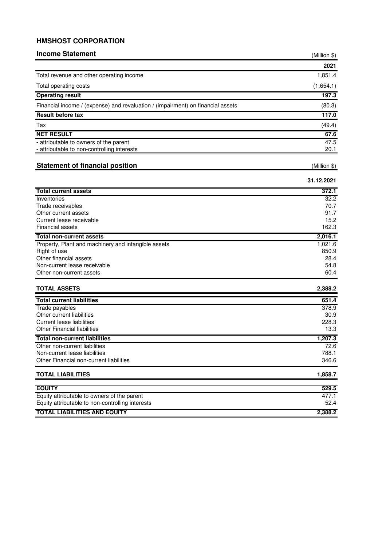## **HMSHOST CORPORATION**

| <b>Income Statement</b>                                                         | (Million \$) |
|---------------------------------------------------------------------------------|--------------|
|                                                                                 | 2021         |
| Total revenue and other operating income                                        | 1,851.4      |
| Total operating costs                                                           | (1,654.1)    |
| <b>Operating result</b>                                                         | 197.3        |
|                                                                                 |              |
| Financial income / (expense) and revaluation / (impairment) on financial assets | (80.3)       |
| Result before tax                                                               | 117.0        |
| Tax                                                                             | (49.4)       |
| <b>NET RESULT</b>                                                               | 67.6         |
| - attributable to owners of the parent                                          | 47.5         |
| - attributable to non-controlling interests                                     | 20.1         |
| <b>Statement of financial position</b>                                          | (Million \$) |
|                                                                                 |              |
|                                                                                 | 31.12.2021   |
| <b>Total current assets</b>                                                     | 372.1        |
| Inventories                                                                     | 32.2         |
| Trade receivables                                                               | 70.7         |
| Other current assets                                                            | 91.7         |
| Current lease receivable                                                        | 15.2         |
| Financial assets                                                                | 162.3        |
| <b>Total non-current assets</b>                                                 | 2,016.1      |
| Property, Plant and machinery and intangible assets                             | 1,021.6      |
| Right of use                                                                    | 850.9        |
| Other financial assets                                                          | 28.4<br>54.8 |
| Non-current lease receivable<br>Other non-current assets                        | 60.4         |
|                                                                                 |              |
| <b>TOTAL ASSETS</b>                                                             | 2,388.2      |
| <b>Total current liabilities</b>                                                | 651.4        |
| Trade payables                                                                  | 378.9        |
| Other current liabilities                                                       | 30.9         |
| Current lease liabilities                                                       | 228.3        |
| <b>Other Financial liabilities</b>                                              | 13.3         |
| <b>Total non-current liabilities</b>                                            | 1,207.3      |
| Other non-current liabilities                                                   | 72.6         |
| Non-current lease liabilities                                                   | 788.1        |
| Other Financial non-current liabilities                                         | 346.6        |
| <b>TOTAL LIABILITIES</b>                                                        | 1,858.7      |
| <b>EQUITY</b>                                                                   | 529.5        |
| Equity attributable to owners of the parent                                     | 477.1        |
| Equity attributable to non-controlling interests                                | 52.4         |
| <b>TOTAL LIABILITIES AND EQUITY</b>                                             | 2,388.2      |
|                                                                                 |              |